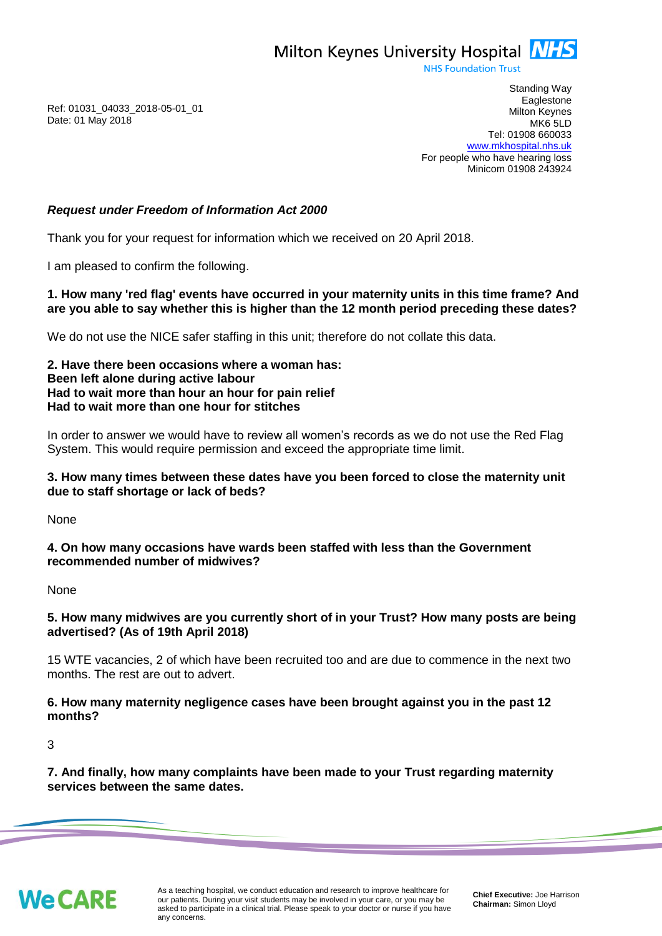Milton Keynes University Hospital **NHS** 

**NHS Foundation Trust** 

Ref: 01031\_04033\_2018-05-01\_01 Date: 01 May 2018

Standing Way **Eaglestone** Milton Keynes MK6 5LD Tel: 01908 660033 [www.mkhospital.nhs.uk](http://www.mkhospital.nhs.uk/) For people who have hearing loss Minicom 01908 243924

# *Request under Freedom of Information Act 2000*

Thank you for your request for information which we received on 20 April 2018.

I am pleased to confirm the following.

### **1. How many 'red flag' events have occurred in your maternity units in this time frame? And are you able to say whether this is higher than the 12 month period preceding these dates?**

We do not use the NICE safer staffing in this unit; therefore do not collate this data.

**2. Have there been occasions where a woman has: Been left alone during active labour Had to wait more than hour an hour for pain relief Had to wait more than one hour for stitches**

In order to answer we would have to review all women's records as we do not use the Red Flag System. This would require permission and exceed the appropriate time limit.

# **3. How many times between these dates have you been forced to close the maternity unit due to staff shortage or lack of beds?**

None

**4. On how many occasions have wards been staffed with less than the Government recommended number of midwives?**

None

# **5. How many midwives are you currently short of in your Trust? How many posts are being advertised? (As of 19th April 2018)**

15 WTE vacancies, 2 of which have been recruited too and are due to commence in the next two months. The rest are out to advert.

### **6. How many maternity negligence cases have been brought against you in the past 12 months?**

3

**7. And finally, how many complaints have been made to your Trust regarding maternity services between the same dates.**